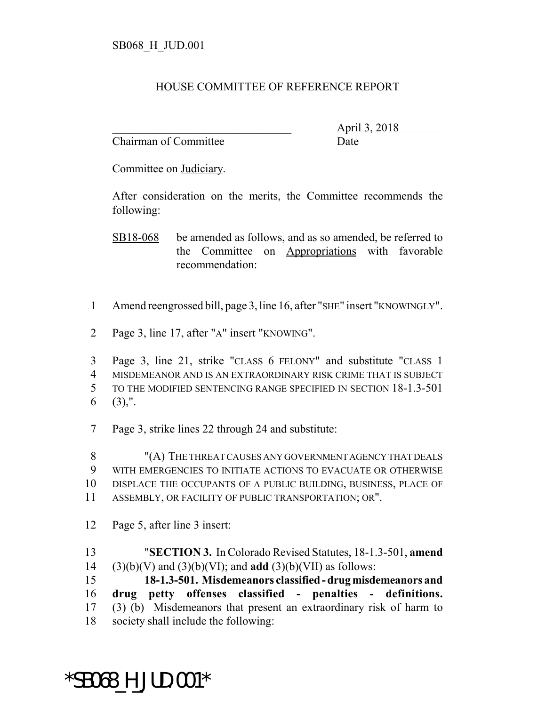## HOUSE COMMITTEE OF REFERENCE REPORT

Chairman of Committee Date

\_\_\_\_\_\_\_\_\_\_\_\_\_\_\_\_\_\_\_\_\_\_\_\_\_\_\_\_\_\_\_ April 3, 2018

Committee on Judiciary.

After consideration on the merits, the Committee recommends the following:

SB18-068 be amended as follows, and as so amended, be referred to the Committee on Appropriations with favorable recommendation:

- Amend reengrossed bill, page 3, line 16, after "SHE" insert "KNOWINGLY".
- Page 3, line 17, after "A" insert "KNOWING".

 Page 3, line 21, strike "CLASS 6 FELONY" and substitute "CLASS 1 MISDEMEANOR AND IS AN EXTRAORDINARY RISK CRIME THAT IS SUBJECT TO THE MODIFIED SENTENCING RANGE SPECIFIED IN SECTION 18-1.3-501 (3),".

Page 3, strike lines 22 through 24 and substitute:

 "(A) THE THREAT CAUSES ANY GOVERNMENT AGENCY THAT DEALS WITH EMERGENCIES TO INITIATE ACTIONS TO EVACUATE OR OTHERWISE DISPLACE THE OCCUPANTS OF A PUBLIC BUILDING, BUSINESS, PLACE OF ASSEMBLY, OR FACILITY OF PUBLIC TRANSPORTATION; OR".

- Page 5, after line 3 insert:
- "**SECTION 3.** In Colorado Revised Statutes, 18-1.3-501, **amend** (3)(b)(V) and (3)(b)(VI); and **add** (3)(b)(VII) as follows:

 **18-1.3-501. Misdemeanors classified - drug misdemeanors and drug petty offenses classified - penalties - definitions.** (3) (b) Misdemeanors that present an extraordinary risk of harm to society shall include the following:

## \*SB068\_H\_JUD.001\*